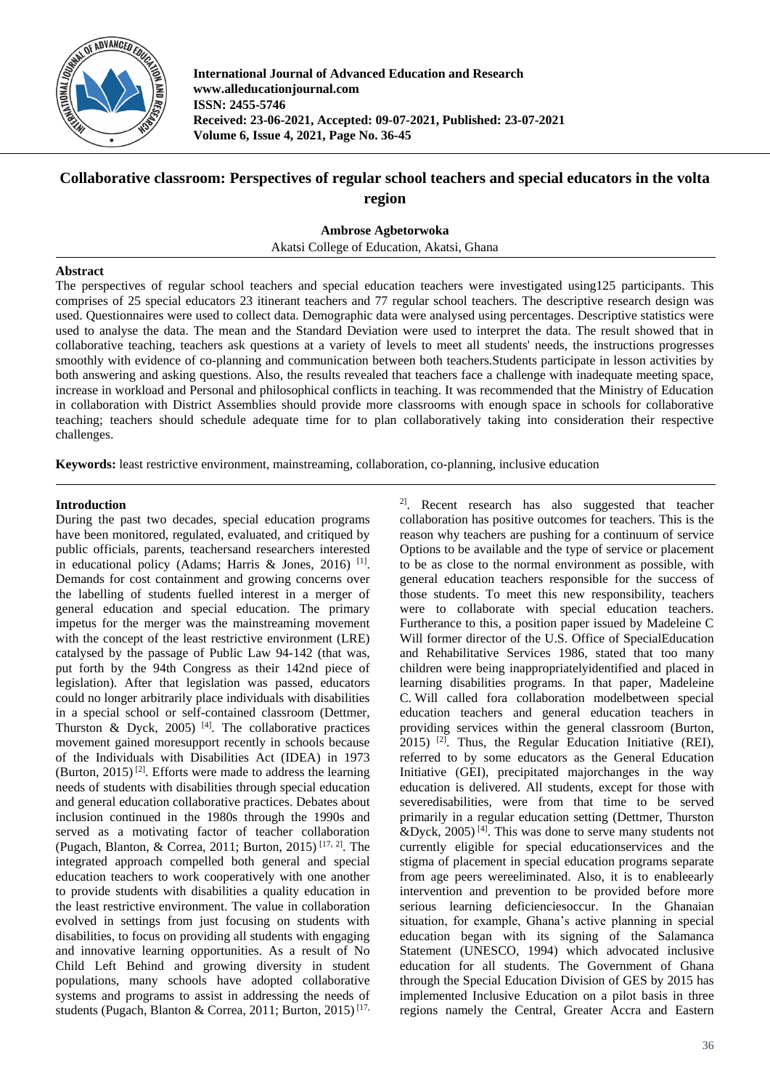

**International Journal of Advanced Education and Research www.alleducationjournal.com ISSN: 2455-5746 Received: 23-06-2021, Accepted: 09-07-2021, Published: 23-07-2021 Volume 6, Issue 4, 2021, Page No. 36-45**

# **Collaborative classroom: Perspectives of regular school teachers and special educators in the volta region**

**Ambrose Agbetorwoka**

Akatsi College of Education, Akatsi, Ghana

# **Abstract**

The perspectives of regular school teachers and special education teachers were investigated using125 participants. This comprises of 25 special educators 23 itinerant teachers and 77 regular school teachers. The descriptive research design was used. Questionnaires were used to collect data. Demographic data were analysed using percentages. Descriptive statistics were used to analyse the data. The mean and the Standard Deviation were used to interpret the data. The result showed that in collaborative teaching, teachers ask questions at a variety of levels to meet all students' needs, the instructions progresses smoothly with evidence of co-planning and communication between both teachers.Students participate in lesson activities by both answering and asking questions. Also, the results revealed that teachers face a challenge with inadequate meeting space, increase in workload and Personal and philosophical conflicts in teaching. It was recommended that the Ministry of Education in collaboration with District Assemblies should provide more classrooms with enough space in schools for collaborative teaching; teachers should schedule adequate time for to plan collaboratively taking into consideration their respective challenges.

**Keywords:** least restrictive environment, mainstreaming, collaboration, co-planning, inclusive education

# **Introduction**

During the past two decades, special education programs have been monitored, regulated, evaluated, and critiqued by public officials, parents, teachersand researchers interested in educational policy (Adams; Harris & Jones, 2016)<sup>[1]</sup>. Demands for cost containment and growing concerns over the labelling of students fuelled interest in a merger of general education and special education. The primary impetus for the merger was the mainstreaming movement with the concept of the least restrictive environment (LRE) catalysed by the passage of Public Law 94-142 (that was, put forth by the 94th Congress as their 142nd piece of legislation). After that legislation was passed, educators could no longer arbitrarily place individuals with disabilities in a special school or self-contained classroom (Dettmer, Thurston & Dyck, 2005)<sup>[4]</sup>. The collaborative practices movement gained moresupport recently in schools because of the Individuals with Disabilities Act (IDEA) in 1973 (Burton, 2015)<sup>[2]</sup>. Efforts were made to address the learning needs of students with disabilities through special education and general education collaborative practices. Debates about inclusion continued in the 1980s through the 1990s and served as a motivating factor of teacher collaboration (Pugach, Blanton, & Correa, 2011; Burton, 2015) [17, 2]. The integrated approach compelled both general and special education teachers to work cooperatively with one another to provide students with disabilities a quality education in the least restrictive environment. The value in collaboration evolved in settings from just focusing on students with disabilities, to focus on providing all students with engaging and innovative learning opportunities. As a result of No Child Left Behind and growing diversity in student populations, many schools have adopted collaborative systems and programs to assist in addressing the needs of students (Pugach, Blanton & Correa, 2011; Burton, 2015)<sup>[17,</sup>

2]. Recent research has also suggested that teacher collaboration has positive outcomes for teachers. This is the reason why teachers are pushing for a continuum of service Options to be available and the type of service or placement to be as close to the normal environment as possible, with general education teachers responsible for the success of those students. To meet this new responsibility, teachers were to collaborate with special education teachers. Furtherance to this, a position paper issued by Madeleine C Will former director of the U.S. Office of SpecialEducation and Rehabilitative Services 1986, stated that too many children were being inappropriatelyidentified and placed in learning disabilities programs. In that paper, Madeleine C. Will called fora collaboration modelbetween special education teachers and general education teachers in providing services within the general classroom (Burton,  $2015$ ) <sup>[2]</sup>. Thus, the Regular Education Initiative (REI), referred to by some educators as the General Education Initiative (GEI), precipitated majorchanges in the way education is delivered. All students, except for those with severedisabilities, were from that time to be served primarily in a regular education setting (Dettmer, Thurston &Dyck,  $2005$ <sup>[4]</sup>. This was done to serve many students not currently eligible for special educationservices and the stigma of placement in special education programs separate from age peers wereeliminated. Also, it is to enableearly intervention and prevention to be provided before more serious learning deficienciesoccur. In the Ghanaian situation, for example, Ghana's active planning in special education began with its signing of the Salamanca Statement (UNESCO, 1994) which advocated inclusive education for all students. The Government of Ghana through the Special Education Division of GES by 2015 has implemented Inclusive Education on a pilot basis in three regions namely the Central, Greater Accra and Eastern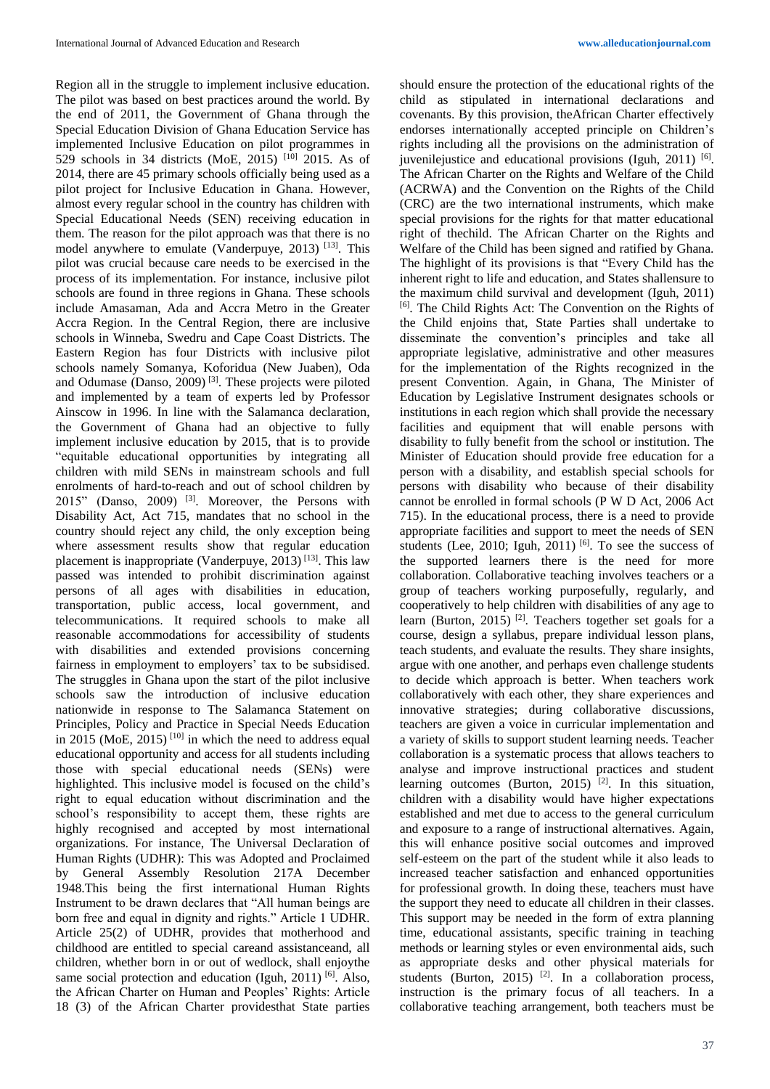Region all in the struggle to implement inclusive education. The pilot was based on best practices around the world. By the end of 2011, the Government of Ghana through the Special Education Division of Ghana Education Service has implemented Inclusive Education on pilot programmes in 529 schools in 34 districts (MoE, 2015)  $[10]$  2015. As of 2014, there are 45 primary schools officially being used as a pilot project for Inclusive Education in Ghana. However, almost every regular school in the country has children with Special Educational Needs (SEN) receiving education in them. The reason for the pilot approach was that there is no model anywhere to emulate (Vanderpuye, 2013)<sup>[13]</sup>. This pilot was crucial because care needs to be exercised in the process of its implementation. For instance, inclusive pilot schools are found in three regions in Ghana. These schools include Amasaman, Ada and Accra Metro in the Greater Accra Region. In the Central Region, there are inclusive schools in Winneba, Swedru and Cape Coast Districts. The Eastern Region has four Districts with inclusive pilot schools namely Somanya, Koforidua (New Juaben), Oda and Odumase (Danso, 2009)<sup>[3]</sup>. These projects were piloted and implemented by a team of experts led by Professor Ainscow in 1996. In line with the Salamanca declaration, the Government of Ghana had an objective to fully implement inclusive education by 2015, that is to provide "equitable educational opportunities by integrating all children with mild SENs in mainstream schools and full enrolments of hard-to-reach and out of school children by 2015" (Danso, 2009) <sup>[3]</sup>. Moreover, the Persons with Disability Act, Act 715, mandates that no school in the country should reject any child, the only exception being where assessment results show that regular education placement is inappropriate (Vanderpuye,  $2013$ )<sup>[13]</sup>. This law passed was intended to prohibit discrimination against persons of all ages with disabilities in education, transportation, public access, local government, and telecommunications. It required schools to make all reasonable accommodations for accessibility of students with disabilities and extended provisions concerning fairness in employment to employers' tax to be subsidised. The struggles in Ghana upon the start of the pilot inclusive schools saw the introduction of inclusive education nationwide in response to The Salamanca Statement on Principles, Policy and Practice in Special Needs Education in 2015 (MoE, 2015)<sup>[10]</sup> in which the need to address equal educational opportunity and access for all students including those with special educational needs (SENs) were highlighted. This inclusive model is focused on the child's right to equal education without discrimination and the school's responsibility to accept them, these rights are highly recognised and accepted by most international organizations. For instance, The Universal Declaration of Human Rights (UDHR): This was Adopted and Proclaimed by General Assembly Resolution 217A December 1948.This being the first international Human Rights Instrument to be drawn declares that "All human beings are born free and equal in dignity and rights." Article 1 UDHR. Article 25(2) of UDHR, provides that motherhood and childhood are entitled to special careand assistanceand, all children, whether born in or out of wedlock, shall enjoythe same social protection and education (Iguh, 2011) <sup>[6]</sup>. Also, the African Charter on Human and Peoples' Rights: Article 18 (3) of the African Charter providesthat State parties

should ensure the protection of the educational rights of the child as stipulated in international declarations and covenants. By this provision, theAfrican Charter effectively endorses internationally accepted principle on Children's rights including all the provisions on the administration of juvenilejustice and educational provisions (Iguh, 2011) [6]. The African Charter on the Rights and Welfare of the Child (ACRWA) and the Convention on the Rights of the Child (CRC) are the two international instruments, which make special provisions for the rights for that matter educational right of thechild. The African Charter on the Rights and Welfare of the Child has been signed and ratified by Ghana. The highlight of its provisions is that "Every Child has the inherent right to life and education, and States shallensure to the maximum child survival and development (Iguh, 2011) [6]. The Child Rights Act: The Convention on the Rights of the Child enjoins that, State Parties shall undertake to disseminate the convention's principles and take all appropriate legislative, administrative and other measures for the implementation of the Rights recognized in the present Convention. Again, in Ghana, The Minister of Education by Legislative Instrument designates schools or institutions in each region which shall provide the necessary facilities and equipment that will enable persons with disability to fully benefit from the school or institution. The Minister of Education should provide free education for a person with a disability, and establish special schools for persons with disability who because of their disability cannot be enrolled in formal schools (P W D Act, 2006 Act 715). In the educational process, there is a need to provide appropriate facilities and support to meet the needs of SEN students (Lee, 2010; Iguh, 2011)  $[6]$ . To see the success of the supported learners there is the need for more collaboration. Collaborative teaching involves teachers or a group of teachers working purposefully, regularly, and cooperatively to help children with disabilities of any age to learn (Burton, 2015)<sup>[2]</sup>. Teachers together set goals for a course, design a syllabus, prepare individual lesson plans, teach students, and evaluate the results. They share insights, argue with one another, and perhaps even challenge students to decide which approach is better. When teachers work collaboratively with each other, they share experiences and innovative strategies; during collaborative discussions, teachers are given a voice in curricular implementation and a variety of skills to support student learning needs. Teacher collaboration is a systematic process that allows teachers to analyse and improve instructional practices and student learning outcomes (Burton, 2015)<sup>[2]</sup>. In this situation, children with a disability would have higher expectations established and met due to access to the general curriculum and exposure to a range of instructional alternatives. Again, this will enhance positive social outcomes and improved self-esteem on the part of the student while it also leads to increased teacher satisfaction and enhanced opportunities for professional growth. In doing these, teachers must have the support they need to educate all children in their classes. This support may be needed in the form of extra planning time, educational assistants, specific training in teaching methods or learning styles or even environmental aids, such as appropriate desks and other physical materials for students (Burton, 2015)  $[2]$ . In a collaboration process, instruction is the primary focus of all teachers. In a collaborative teaching arrangement, both teachers must be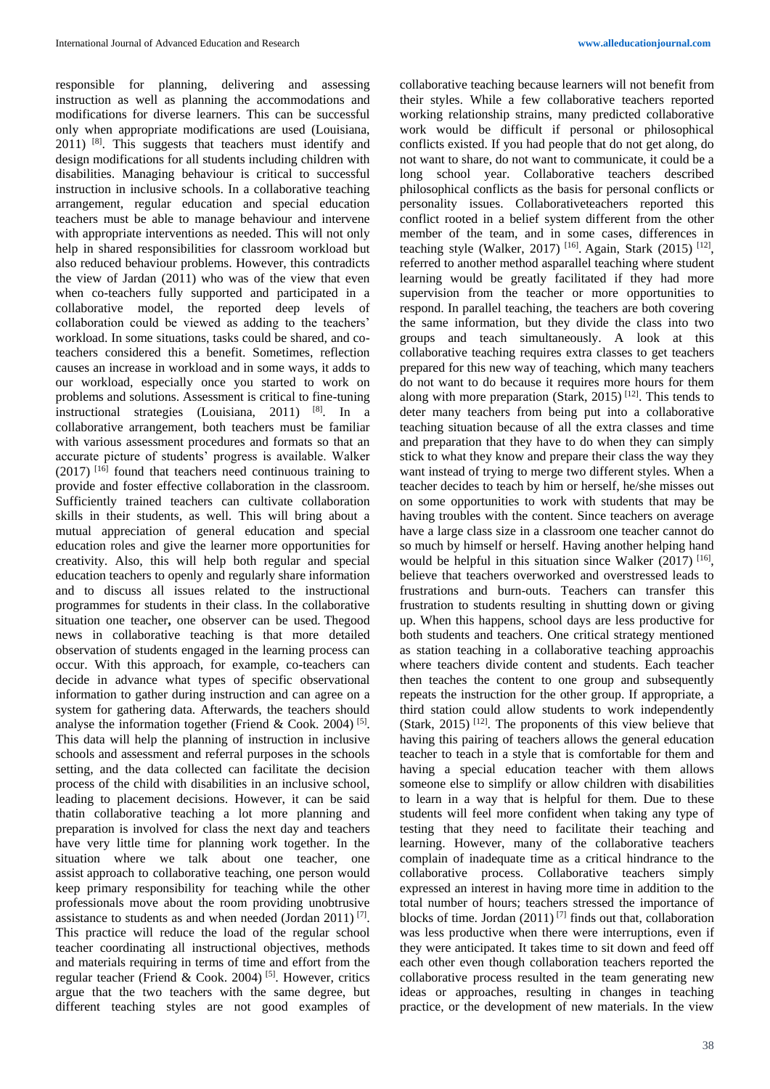responsible for planning, delivering and assessing instruction as well as planning the accommodations and modifications for diverse learners. This can be successful only when appropriate modifications are used (Louisiana, 2011) <sup>[8]</sup>. This suggests that teachers must identify and design modifications for all students including children with disabilities. Managing behaviour is critical to successful instruction in inclusive schools. In a collaborative teaching arrangement, regular education and special education teachers must be able to manage behaviour and intervene with appropriate interventions as needed. This will not only help in shared responsibilities for classroom workload but also reduced behaviour problems. However, this contradicts the view of Jardan  $(2011)$  who was of the view that even when co-teachers fully supported and participated in a collaborative model, the reported deep levels of collaboration could be viewed as adding to the teachers' workload. In some situations, tasks could be shared, and coteachers considered this a benefit. Sometimes, reflection causes an increase in workload and in some ways, it adds to our workload, especially once you started to work on problems and solutions. Assessment is critical to fine-tuning instructional strategies (Louisiana, 2011)  $[8]$ . In a collaborative arrangement, both teachers must be familiar with various assessment procedures and formats so that an accurate picture of students' progress is available. Walker  $(2017)$  [16] found that teachers need continuous training to provide and foster effective collaboration in the classroom. Sufficiently trained teachers can cultivate collaboration skills in their students, as well. This will bring about a mutual appreciation of general education and special education roles and give the learner more opportunities for creativity. Also, this will help both regular and special education teachers to openly and regularly share information and to discuss all issues related to the instructional programmes for students in their class. In the collaborative situation one teacher**,** one observer can be used. Thegood news in collaborative teaching is that more detailed observation of students engaged in the learning process can occur. With this approach, for example, co-teachers can decide in advance what types of specific observational information to gather during instruction and can agree on a system for gathering data. Afterwards, the teachers should analyse the information together (Friend & Cook. 2004)<sup>[5]</sup>. This data will help the planning of instruction in inclusive schools and assessment and referral purposes in the schools setting, and the data collected can facilitate the decision process of the child with disabilities in an inclusive school, leading to placement decisions. However, it can be said thatin collaborative teaching a lot more planning and preparation is involved for class the next day and teachers have very little time for planning work together. In the situation where we talk about one teacher, one assist approach to collaborative teaching, one person would keep primary responsibility for teaching while the other professionals move about the room providing unobtrusive assistance to students as and when needed (Jordan 2011)<sup>[7]</sup>. This practice will reduce the load of the regular school teacher coordinating all instructional objectives, methods and materials requiring in terms of time and effort from the regular teacher (Friend & Cook. 2004) [5]. However, critics argue that the two teachers with the same degree, but different teaching styles are not good examples of

collaborative teaching because learners will not benefit from their styles. While a few collaborative teachers reported working relationship strains, many predicted collaborative work would be difficult if personal or philosophical conflicts existed. If you had people that do not get along, do not want to share, do not want to communicate, it could be a long school year. Collaborative teachers described philosophical conflicts as the basis for personal conflicts or personality issues. Collaborativeteachers reported this conflict rooted in a belief system different from the other member of the team, and in some cases, differences in teaching style (Walker, 2017)<sup>[16]</sup>. Again, Stark (2015)<sup>[12]</sup>, referred to another method asparallel teaching where student learning would be greatly facilitated if they had more supervision from the teacher or more opportunities to respond. In parallel teaching, the teachers are both covering the same information, but they divide the class into two groups and teach simultaneously. A look at this collaborative teaching requires extra classes to get teachers prepared for this new way of teaching, which many teachers do not want to do because it requires more hours for them along with more preparation (Stark, 2015)<sup>[12]</sup>. This tends to deter many teachers from being put into a collaborative teaching situation because of all the extra classes and time and preparation that they have to do when they can simply stick to what they know and prepare their class the way they want instead of trying to merge two different styles. When a teacher decides to teach by him or herself, he/she misses out on some opportunities to work with students that may be having troubles with the content. Since teachers on average have a large class size in a classroom one teacher cannot do so much by himself or herself. Having another helping hand would be helpful in this situation since Walker  $(2017)$  [16], believe that teachers overworked and overstressed leads to frustrations and burn-outs. Teachers can transfer this frustration to students resulting in shutting down or giving up. When this happens, school days are less productive for both students and teachers. One critical strategy mentioned as station teaching in a collaborative teaching approachis where teachers divide content and students. Each teacher then teaches the content to one group and subsequently repeats the instruction for the other group. If appropriate, a third station could allow students to work independently (Stark, 2015)  $[12]$ . The proponents of this view believe that having this pairing of teachers allows the general education teacher to teach in a style that is comfortable for them and having a special education teacher with them allows someone else to simplify or allow children with disabilities to learn in a way that is helpful for them. Due to these students will feel more confident when taking any type of testing that they need to facilitate their teaching and learning. However, many of the collaborative teachers complain of inadequate time as a critical hindrance to the collaborative process. Collaborative teachers simply expressed an interest in having more time in addition to the total number of hours; teachers stressed the importance of blocks of time. Jordan  $(2011)^{7}$  finds out that, collaboration was less productive when there were interruptions, even if they were anticipated. It takes time to sit down and feed off each other even though collaboration teachers reported the collaborative process resulted in the team generating new ideas or approaches, resulting in changes in teaching practice, or the development of new materials. In the view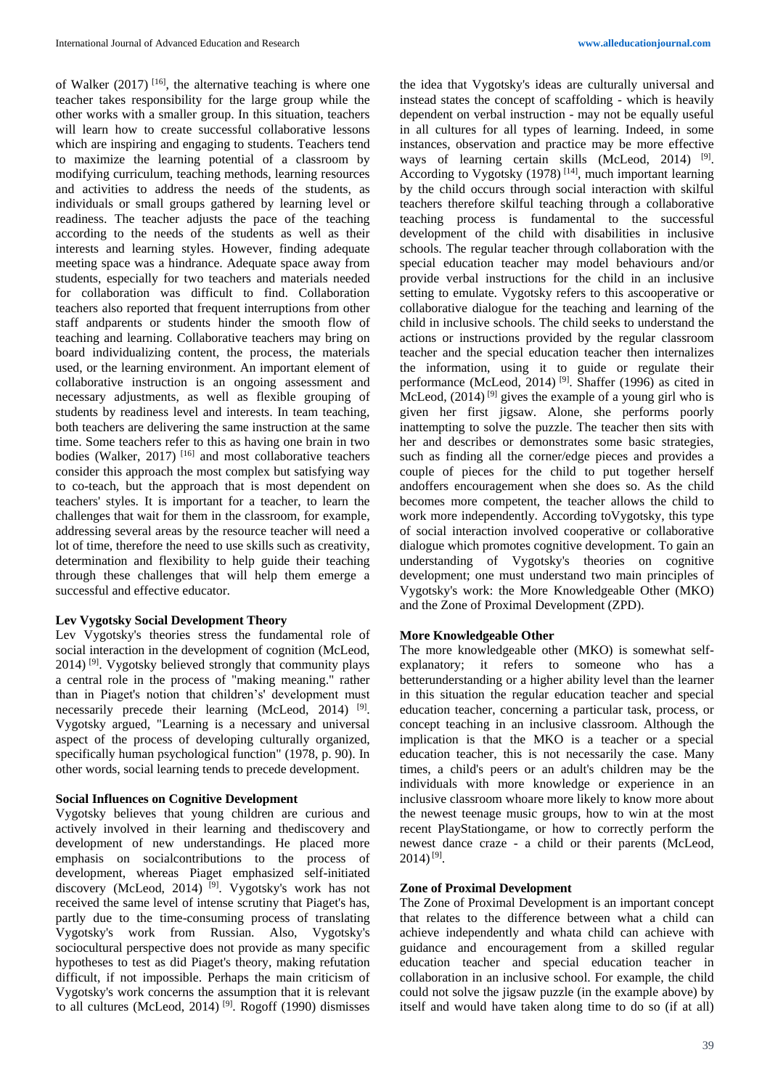of Walker  $(2017)$ <sup>[16]</sup>, the alternative teaching is where one teacher takes responsibility for the large group while the other works with a smaller group. In this situation, teachers will learn how to create successful collaborative lessons which are inspiring and engaging to students. Teachers tend to maximize the learning potential of a classroom by modifying curriculum, teaching methods, learning resources and activities to address the needs of the students, as individuals or small groups gathered by learning level or readiness. The teacher adjusts the pace of the teaching according to the needs of the students as well as their interests and learning styles. However, finding adequate meeting space was a hindrance. Adequate space away from students, especially for two teachers and materials needed for collaboration was difficult to find. Collaboration teachers also reported that frequent interruptions from other staff andparents or students hinder the smooth flow of teaching and learning. Collaborative teachers may bring on board individualizing content, the process, the materials used, or the learning environment. An important element of collaborative instruction is an ongoing assessment and necessary adjustments, as well as flexible grouping of students by readiness level and interests. In team teaching, both teachers are delivering the same instruction at the same time. Some teachers refer to this as having one brain in two bodies (Walker, 2017)<sup>[16]</sup> and most collaborative teachers consider this approach the most complex but satisfying way to co-teach, but the approach that is most dependent on teachers' styles. It is important for a teacher, to learn the challenges that wait for them in the classroom, for example, addressing several areas by the resource teacher will need a lot of time, therefore the need to use skills such as creativity, determination and flexibility to help guide their teaching through these challenges that will help them emerge a successful and effective educator.

## **Lev Vygotsky Social Development Theory**

Lev Vygotsky's theories stress the fundamental role of social interaction in the development of cognition (McLeod, 2014) [9]. Vygotsky believed strongly that community plays a central role in the process of "making meaning." rather than in Piaget's notion that children's' development must necessarily precede their learning (McLeod, 2014)<sup>[9]</sup>. Vygotsky argued, "Learning is a necessary and universal aspect of the process of developing culturally organized, specifically human psychological function" (1978, p. 90). In other words, social learning tends to precede development.

# **Social Influences on Cognitive Development**

Vygotsky believes that young children are curious and actively involved in their learning and thediscovery and development of new understandings. He placed more emphasis on socialcontributions to the process of development, whereas Piaget emphasized self-initiated discovery (McLeod, 2014)<sup>[9]</sup>. Vygotsky's work has not received the same level of intense scrutiny that Piaget's has, partly due to the time-consuming process of translating Vygotsky's work from Russian. Also, Vygotsky's sociocultural perspective does not provide as many specific hypotheses to test as did Piaget's theory, making refutation difficult, if not impossible. Perhaps the main criticism of Vygotsky's work concerns the assumption that it is relevant to all cultures (McLeod, 2014)<sup>[9]</sup>. Rogoff (1990) dismisses

the idea that Vygotsky's ideas are culturally universal and instead states the concept of scaffolding - which is heavily dependent on verbal instruction - may not be equally useful in all cultures for all types of learning. Indeed, in some instances, observation and practice may be more effective ways of learning certain skills (McLeod, 2014)<sup>[9]</sup>. According to Vygotsky (1978)<sup>[14]</sup>, much important learning by the child occurs through social interaction with skilful teachers therefore skilful teaching through a collaborative teaching process is fundamental to the successful development of the child with disabilities in inclusive schools. The regular teacher through collaboration with the special education teacher may model behaviours and/or provide verbal instructions for the child in an inclusive setting to emulate. Vygotsky refers to this ascooperative or collaborative dialogue for the teaching and learning of the child in inclusive schools. The child seeks to understand the actions or instructions provided by the regular classroom teacher and the special education teacher then internalizes the information, using it to guide or regulate their performance (McLeod, 2014)<sup>[9]</sup>. Shaffer (1996) as cited in McLeod,  $(2014)$ <sup>[9]</sup> gives the example of a young girl who is given her first jigsaw. Alone, she performs poorly inattempting to solve the puzzle. The teacher then sits with her and describes or demonstrates some basic strategies, such as finding all the corner/edge pieces and provides a couple of pieces for the child to put together herself andoffers encouragement when she does so. As the child becomes more competent, the teacher allows the child to work more independently. According toVygotsky, this type of social interaction involved cooperative or collaborative dialogue which promotes cognitive development. To gain an understanding of Vygotsky's theories on cognitive development; one must understand two main principles of Vygotsky's work: the More Knowledgeable Other (MKO) and the Zone of Proximal Development (ZPD).

# **More Knowledgeable Other**

The more knowledgeable other (MKO) is somewhat selfexplanatory; it refers to someone who has a betterunderstanding or a higher ability level than the learner in this situation the regular education teacher and special education teacher, concerning a particular task, process, or concept teaching in an inclusive classroom. Although the implication is that the MKO is a teacher or a special education teacher, this is not necessarily the case. Many times, a child's peers or an adult's children may be the individuals with more knowledge or experience in an inclusive classroom whoare more likely to know more about the newest teenage music groups, how to win at the most recent PlayStationgame, or how to correctly perform the newest dance craze - a child or their parents (McLeod,  $2014$ )<sup>[9]</sup>.

## **Zone of Proximal Development**

The Zone of Proximal Development is an important concept that relates to the difference between what a child can achieve independently and whata child can achieve with guidance and encouragement from a skilled regular education teacher and special education teacher in collaboration in an inclusive school. For example, the child could not solve the jigsaw puzzle (in the example above) by itself and would have taken along time to do so (if at all)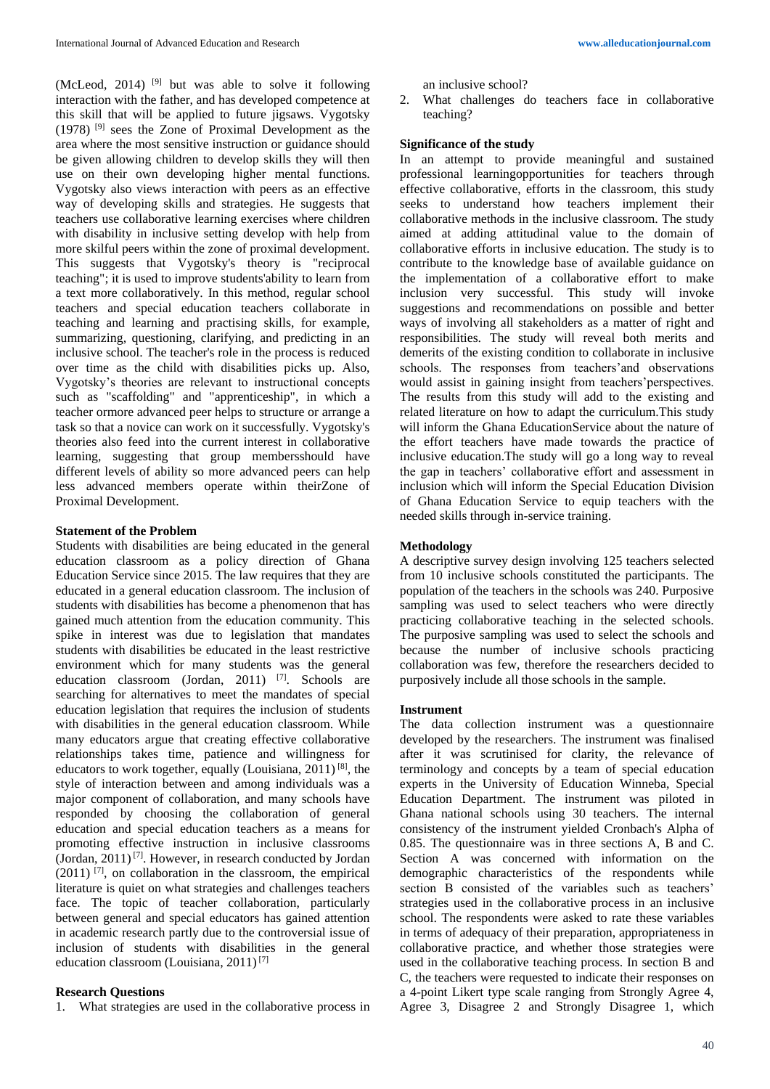(McLeod, 2014)  $[9]$  but was able to solve it following interaction with the father, and has developed competence at this skill that will be applied to future jigsaws. Vygotsky (1978) [9] sees the Zone of Proximal Development as the area where the most sensitive instruction or guidance should be given allowing children to develop skills they will then use on their own developing higher mental functions. Vygotsky also views interaction with peers as an effective way of developing skills and strategies. He suggests that teachers use collaborative learning exercises where children with disability in inclusive setting develop with help from more skilful peers within the zone of proximal development. This suggests that Vygotsky's theory is "reciprocal teaching"; it is used to improve students'ability to learn from a text more collaboratively. In this method, regular school teachers and special education teachers collaborate in teaching and learning and practising skills, for example, summarizing, questioning, clarifying, and predicting in an inclusive school. The teacher's role in the process is reduced over time as the child with disabilities picks up. Also, Vygotsky's theories are relevant to instructional concepts such as "scaffolding" and "apprenticeship", in which a teacher ormore advanced peer helps to structure or arrange a task so that a novice can work on it successfully. Vygotsky's theories also feed into the current interest in collaborative learning, suggesting that group membersshould have different levels of ability so more advanced peers can help less advanced members operate within theirZone of Proximal Development.

# **Statement of the Problem**

Students with disabilities are being educated in the general education classroom as a policy direction of Ghana Education Service since 2015. The law requires that they are educated in a general education classroom. The inclusion of students with disabilities has become a phenomenon that has gained much attention from the education community. This spike in interest was due to legislation that mandates students with disabilities be educated in the least restrictive environment which for many students was the general education classroom (Jordan, 2011) [7]. Schools are searching for alternatives to meet the mandates of special education legislation that requires the inclusion of students with disabilities in the general education classroom. While many educators argue that creating effective collaborative relationships takes time, patience and willingness for educators to work together, equally (Louisiana, 2011) [8], the style of interaction between and among individuals was a major component of collaboration, and many schools have responded by choosing the collaboration of general education and special education teachers as a means for promoting effective instruction in inclusive classrooms (Jordan,  $2011$ )<sup>[7]</sup>. However, in research conducted by Jordan  $(2011)$ <sup>[7]</sup>, on collaboration in the classroom, the empirical literature is quiet on what strategies and challenges teachers face. The topic of teacher collaboration, particularly between general and special educators has gained attention in academic research partly due to the controversial issue of inclusion of students with disabilities in the general education classroom (Louisiana, 2011) [7]

# **Research Questions**

1. What strategies are used in the collaborative process in

an inclusive school?

2. What challenges do teachers face in collaborative teaching?

# **Significance of the study**

In an attempt to provide meaningful and sustained professional learningopportunities for teachers through effective collaborative, efforts in the classroom, this study seeks to understand how teachers implement their collaborative methods in the inclusive classroom. The study aimed at adding attitudinal value to the domain of collaborative efforts in inclusive education. The study is to contribute to the knowledge base of available guidance on the implementation of a collaborative effort to make inclusion very successful. This study will invoke suggestions and recommendations on possible and better ways of involving all stakeholders as a matter of right and responsibilities. The study will reveal both merits and demerits of the existing condition to collaborate in inclusive schools. The responses from teachers'and observations would assist in gaining insight from teachers'perspectives. The results from this study will add to the existing and related literature on how to adapt the curriculum.This study will inform the Ghana EducationService about the nature of the effort teachers have made towards the practice of inclusive education.The study will go a long way to reveal the gap in teachers' collaborative effort and assessment in inclusion which will inform the Special Education Division of Ghana Education Service to equip teachers with the needed skills through in-service training.

# **Methodology**

A descriptive survey design involving 125 teachers selected from 10 inclusive schools constituted the participants. The population of the teachers in the schools was 240. Purposive sampling was used to select teachers who were directly practicing collaborative teaching in the selected schools. The purposive sampling was used to select the schools and because the number of inclusive schools practicing collaboration was few, therefore the researchers decided to purposively include all those schools in the sample.

## **Instrument**

The data collection instrument was a questionnaire developed by the researchers. The instrument was finalised after it was scrutinised for clarity, the relevance of terminology and concepts by a team of special education experts in the University of Education Winneba, Special Education Department. The instrument was piloted in Ghana national schools using 30 teachers. The internal consistency of the instrument yielded Cronbach's Alpha of 0.85. The questionnaire was in three sections A, B and C. Section A was concerned with information on the demographic characteristics of the respondents while section B consisted of the variables such as teachers' strategies used in the collaborative process in an inclusive school. The respondents were asked to rate these variables in terms of adequacy of their preparation, appropriateness in collaborative practice, and whether those strategies were used in the collaborative teaching process. In section B and C, the teachers were requested to indicate their responses on a 4-point Likert type scale ranging from Strongly Agree 4, Agree 3, Disagree 2 and Strongly Disagree 1, which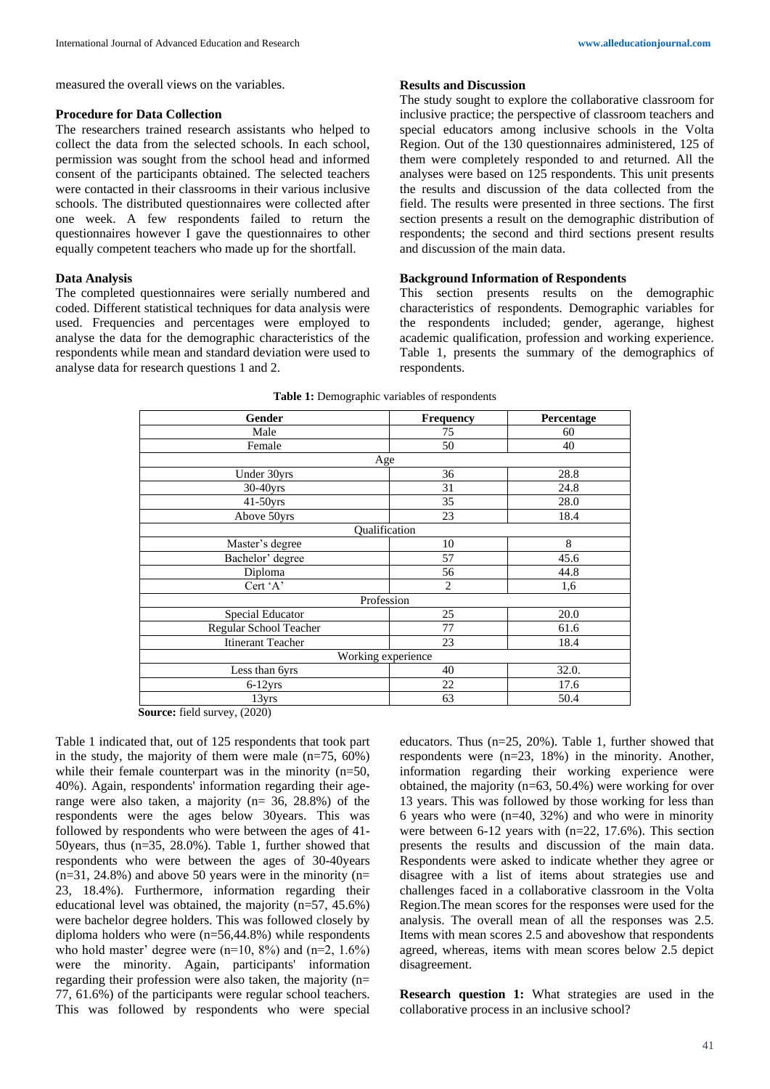measured the overall views on the variables.

#### **Procedure for Data Collection**

The researchers trained research assistants who helped to collect the data from the selected schools. In each school, permission was sought from the school head and informed consent of the participants obtained. The selected teachers were contacted in their classrooms in their various inclusive schools. The distributed questionnaires were collected after one week. A few respondents failed to return the questionnaires however I gave the questionnaires to other equally competent teachers who made up for the shortfall.

# **Data Analysis**

The completed questionnaires were serially numbered and coded. Different statistical techniques for data analysis were used. Frequencies and percentages were employed to analyse the data for the demographic characteristics of the respondents while mean and standard deviation were used to analyse data for research questions 1 and 2.

### **Results and Discussion**

The study sought to explore the collaborative classroom for inclusive practice; the perspective of classroom teachers and special educators among inclusive schools in the Volta Region. Out of the 130 questionnaires administered, 125 of them were completely responded to and returned. All the analyses were based on 125 respondents. This unit presents the results and discussion of the data collected from the field. The results were presented in three sections. The first section presents a result on the demographic distribution of respondents; the second and third sections present results and discussion of the main data.

#### **Background Information of Respondents**

This section presents results on the demographic characteristics of respondents. Demographic variables for the respondents included; gender, agerange, highest academic qualification, profession and working experience. Table 1, presents the summary of the demographics of respondents.

| Gender                   | Frequency          | Percentage |
|--------------------------|--------------------|------------|
| Male                     | 75                 | 60         |
| Female                   | 50                 | 40         |
|                          | Age                |            |
| Under 30yrs              | 36                 | 28.8       |
| 30-40yrs                 | 31                 | 24.8       |
| $41-50$ yrs              | 35                 | 28.0       |
| Above 50yrs              | 23                 | 18.4       |
|                          | Qualification      |            |
| Master's degree          | 10                 | 8          |
| Bachelor' degree         | 57                 | 45.6       |
| Diploma                  | 56                 | 44.8       |
| Cert 'A'                 | $\overline{2}$     | 1,6        |
|                          | Profession         |            |
| Special Educator         | 25                 | 20.0       |
| Regular School Teacher   | 77                 | 61.6       |
| <b>Itinerant Teacher</b> | 23                 | 18.4       |
|                          | Working experience |            |
| Less than 6yrs           | 40                 | 32.0.      |
| $6-12$ yrs               | 22                 | 17.6       |
| 13yrs                    | 63                 | 50.4       |

**Source:** field survey, (2020)

Table 1 indicated that, out of 125 respondents that took part in the study, the majority of them were male  $(n=75, 60\%)$ while their female counterpart was in the minority  $(n=50,$ 40%). Again, respondents' information regarding their agerange were also taken, a majority ( $n=$  36, 28.8%) of the respondents were the ages below 30years. This was followed by respondents who were between the ages of 41- 50years, thus (n=35, 28.0%). Table 1, further showed that respondents who were between the ages of 30-40years  $(n=31, 24.8\%)$  and above 50 years were in the minority  $(n=$ 23, 18.4%). Furthermore, information regarding their educational level was obtained, the majority (n=57, 45.6%) were bachelor degree holders. This was followed closely by diploma holders who were (n=56,44.8%) while respondents who hold master' degree were  $(n=10, 8\%)$  and  $(n=2, 1.6\%)$ were the minority. Again, participants' information regarding their profession were also taken, the majority (n= 77, 61.6%) of the participants were regular school teachers. This was followed by respondents who were special educators. Thus (n=25, 20%). Table 1, further showed that respondents were (n=23, 18%) in the minority. Another, information regarding their working experience were obtained, the majority  $(n=63, 50.4%)$  were working for over 13 years. This was followed by those working for less than 6 years who were  $(n=40, 32%)$  and who were in minority were between 6-12 years with  $(n=22, 17.6%)$ . This section presents the results and discussion of the main data. Respondents were asked to indicate whether they agree or disagree with a list of items about strategies use and challenges faced in a collaborative classroom in the Volta Region.The mean scores for the responses were used for the analysis. The overall mean of all the responses was 2.5. Items with mean scores 2.5 and aboveshow that respondents agreed, whereas, items with mean scores below 2.5 depict disagreement.

**Research question 1:** What strategies are used in the collaborative process in an inclusive school?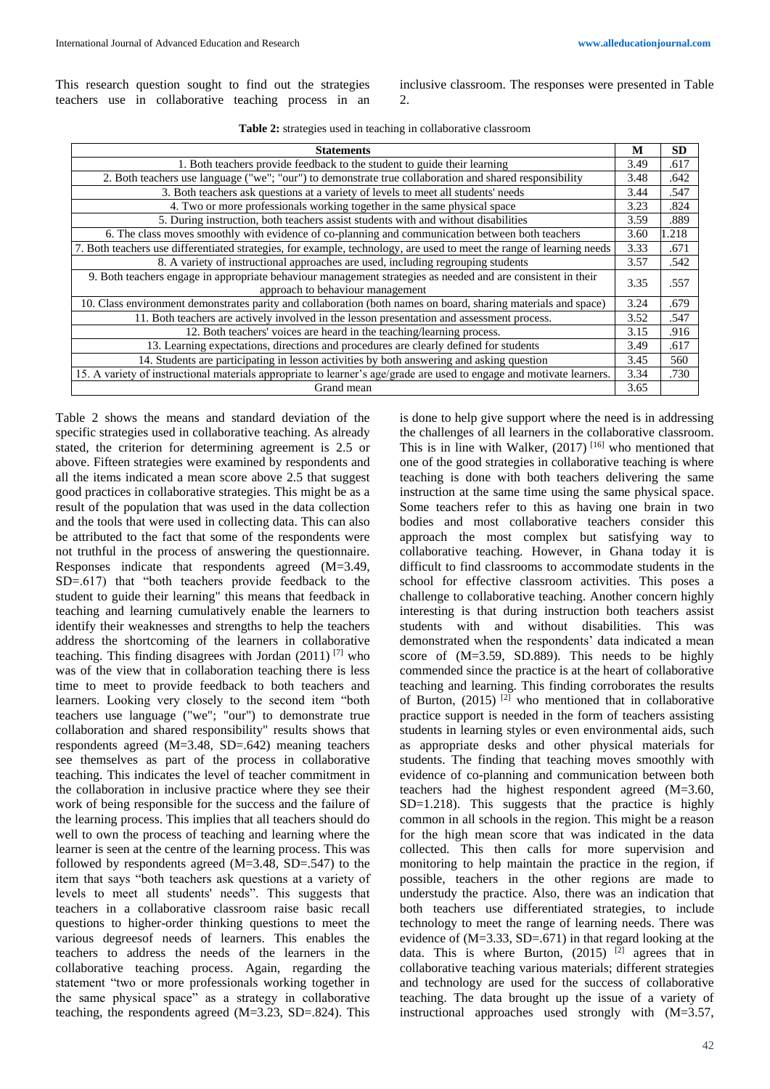This research question sought to find out the strategies teachers use in collaborative teaching process in an inclusive classroom. The responses were presented in Table  $\mathcal{D}$ 

| <b>Statements</b>                                                                                                     |      | <b>SD</b> |
|-----------------------------------------------------------------------------------------------------------------------|------|-----------|
| 1. Both teachers provide feedback to the student to guide their learning                                              |      | .617      |
| 2. Both teachers use language ("we"; "our") to demonstrate true collaboration and shared responsibility               |      | .642      |
| 3. Both teachers ask questions at a variety of levels to meet all students' needs                                     |      | .547      |
| 4. Two or more professionals working together in the same physical space                                              |      | .824      |
| 5. During instruction, both teachers assist students with and without disabilities                                    |      | .889      |
| 6. The class moves smoothly with evidence of co-planning and communication between both teachers                      |      | 1.218     |
| 7. Both teachers use differentiated strategies, for example, technology, are used to meet the range of learning needs | 3.33 | .671      |
| 8. A variety of instructional approaches are used, including regrouping students                                      |      | .542      |
| 9. Both teachers engage in appropriate behaviour management strategies as needed and are consistent in their          | 3.35 | .557      |
| approach to behaviour management                                                                                      |      |           |
| 10. Class environment demonstrates parity and collaboration (both names on board, sharing materials and space)        | 3.24 | .679      |
| 11. Both teachers are actively involved in the lesson presentation and assessment process.                            | 3.52 | .547      |
| 12. Both teachers' voices are heard in the teaching/learning process.                                                 | 3.15 | .916      |
| 13. Learning expectations, directions and procedures are clearly defined for students                                 | 3.49 | .617      |
| 14. Students are participating in lesson activities by both answering and asking question                             | 3.45 | 560       |
| 15. A variety of instructional materials appropriate to learner's age/grade are used to engage and motivate learners. |      | .730      |
| Grand mean                                                                                                            |      |           |

Table 2 shows the means and standard deviation of the specific strategies used in collaborative teaching. As already stated, the criterion for determining agreement is 2.5 or above. Fifteen strategies were examined by respondents and all the items indicated a mean score above 2.5 that suggest good practices in collaborative strategies. This might be as a result of the population that was used in the data collection and the tools that were used in collecting data. This can also be attributed to the fact that some of the respondents were not truthful in the process of answering the questionnaire. Responses indicate that respondents agreed (M=3.49, SD=.617) that "both teachers provide feedback to the student to guide their learning" this means that feedback in teaching and learning cumulatively enable the learners to identify their weaknesses and strengths to help the teachers address the shortcoming of the learners in collaborative teaching. This finding disagrees with Jordan (2011) [7] who was of the view that in collaboration teaching there is less time to meet to provide feedback to both teachers and learners. Looking very closely to the second item "both teachers use language ("we"; "our") to demonstrate true collaboration and shared responsibility" results shows that respondents agreed (M=3.48, SD=.642) meaning teachers see themselves as part of the process in collaborative teaching. This indicates the level of teacher commitment in the collaboration in inclusive practice where they see their work of being responsible for the success and the failure of the learning process. This implies that all teachers should do well to own the process of teaching and learning where the learner is seen at the centre of the learning process. This was followed by respondents agreed  $(M=3.48, SD=0.547)$  to the item that says "both teachers ask questions at a variety of levels to meet all students' needs". This suggests that teachers in a collaborative classroom raise basic recall questions to higher-order thinking questions to meet the various degreesof needs of learners. This enables the teachers to address the needs of the learners in the collaborative teaching process. Again, regarding the statement "two or more professionals working together in the same physical space" as a strategy in collaborative teaching, the respondents agreed (M=3.23, SD=.824). This

is done to help give support where the need is in addressing the challenges of all learners in the collaborative classroom. This is in line with Walker,  $(2017)$  <sup>[16]</sup> who mentioned that one of the good strategies in collaborative teaching is where teaching is done with both teachers delivering the same instruction at the same time using the same physical space. Some teachers refer to this as having one brain in two bodies and most collaborative teachers consider this approach the most complex but satisfying way to collaborative teaching. However, in Ghana today it is difficult to find classrooms to accommodate students in the school for effective classroom activities. This poses a challenge to collaborative teaching. Another concern highly interesting is that during instruction both teachers assist students with and without disabilities. This was demonstrated when the respondents' data indicated a mean score of (M=3.59, SD.889). This needs to be highly commended since the practice is at the heart of collaborative teaching and learning. This finding corroborates the results of Burton,  $(2015)$ <sup>[2]</sup> who mentioned that in collaborative practice support is needed in the form of teachers assisting students in learning styles or even environmental aids, such as appropriate desks and other physical materials for students. The finding that teaching moves smoothly with evidence of co-planning and communication between both teachers had the highest respondent agreed (M=3.60, SD=1.218). This suggests that the practice is highly common in all schools in the region. This might be a reason for the high mean score that was indicated in the data collected. This then calls for more supervision and monitoring to help maintain the practice in the region, if possible, teachers in the other regions are made to understudy the practice. Also, there was an indication that both teachers use differentiated strategies, to include technology to meet the range of learning needs. There was evidence of (M=3.33, SD=.671) in that regard looking at the data. This is where Burton,  $(2015)$  <sup>[2]</sup> agrees that in collaborative teaching various materials; different strategies and technology are used for the success of collaborative teaching. The data brought up the issue of a variety of instructional approaches used strongly with (M=3.57,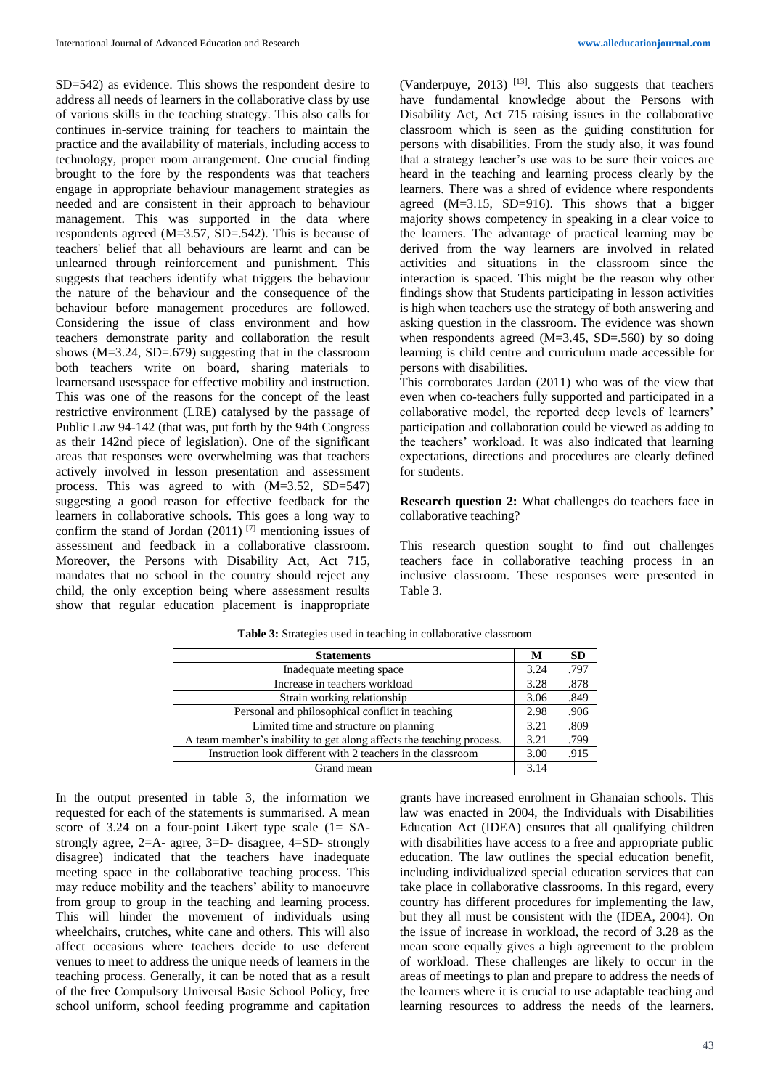SD=542) as evidence. This shows the respondent desire to address all needs of learners in the collaborative class by use of various skills in the teaching strategy. This also calls for continues in-service training for teachers to maintain the practice and the availability of materials, including access to technology, proper room arrangement. One crucial finding brought to the fore by the respondents was that teachers engage in appropriate behaviour management strategies as needed and are consistent in their approach to behaviour management. This was supported in the data where respondents agreed  $(M=3.57, SD=.542)$ . This is because of teachers' belief that all behaviours are learnt and can be unlearned through reinforcement and punishment. This suggests that teachers identify what triggers the behaviour the nature of the behaviour and the consequence of the behaviour before management procedures are followed. Considering the issue of class environment and how teachers demonstrate parity and collaboration the result shows (M=3.24, SD=.679) suggesting that in the classroom both teachers write on board, sharing materials to learnersand usesspace for effective mobility and instruction. This was one of the reasons for the concept of the least restrictive environment (LRE) catalysed by the passage of Public Law 94-142 (that was, put forth by the 94th Congress as their 142nd piece of legislation). One of the significant areas that responses were overwhelming was that teachers actively involved in lesson presentation and assessment process. This was agreed to with (M=3.52, SD=547) suggesting a good reason for effective feedback for the learners in collaborative schools. This goes a long way to confirm the stand of Jordan  $(2011)$ <sup>[7]</sup> mentioning issues of assessment and feedback in a collaborative classroom. Moreover, the Persons with Disability Act, Act 715, mandates that no school in the country should reject any child, the only exception being where assessment results show that regular education placement is inappropriate

(Vanderpuye, 2013)  $[13]$ . This also suggests that teachers have fundamental knowledge about the Persons with Disability Act, Act 715 raising issues in the collaborative classroom which is seen as the guiding constitution for persons with disabilities. From the study also, it was found that a strategy teacher's use was to be sure their voices are heard in the teaching and learning process clearly by the learners. There was a shred of evidence where respondents agreed (M=3.15, SD=916). This shows that a bigger majority shows competency in speaking in a clear voice to the learners. The advantage of practical learning may be derived from the way learners are involved in related activities and situations in the classroom since the interaction is spaced. This might be the reason why other findings show that Students participating in lesson activities is high when teachers use the strategy of both answering and asking question in the classroom. The evidence was shown when respondents agreed  $(M=3.45, SD=.560)$  by so doing learning is child centre and curriculum made accessible for persons with disabilities.

This corroborates Jardan (2011) who was of the view that even when co-teachers fully supported and participated in a collaborative model, the reported deep levels of learners' participation and collaboration could be viewed as adding to the teachers' workload. It was also indicated that learning expectations, directions and procedures are clearly defined for students.

**Research question 2:** What challenges do teachers face in collaborative teaching?

This research question sought to find out challenges teachers face in collaborative teaching process in an inclusive classroom. These responses were presented in Table 3.

| <b>Statements</b>                                                    |      | <b>SD</b> |
|----------------------------------------------------------------------|------|-----------|
| Inadequate meeting space                                             | 3.24 | .797      |
| Increase in teachers workload                                        | 3.28 | .878      |
| Strain working relationship                                          | 3.06 | .849      |
| Personal and philosophical conflict in teaching                      | 2.98 | .906      |
| Limited time and structure on planning                               | 3.21 | .809      |
| A team member's inability to get along affects the teaching process. | 3.21 | .799      |
| Instruction look different with 2 teachers in the classroom          |      | .915      |
| Grand mean                                                           |      |           |

**Table 3:** Strategies used in teaching in collaborative classroom

In the output presented in table 3, the information we requested for each of the statements is summarised. A mean score of 3.24 on a four-point Likert type scale (1= SAstrongly agree, 2=A- agree, 3=D- disagree, 4=SD- strongly disagree) indicated that the teachers have inadequate meeting space in the collaborative teaching process. This may reduce mobility and the teachers' ability to manoeuvre from group to group in the teaching and learning process. This will hinder the movement of individuals using wheelchairs, crutches, white cane and others. This will also affect occasions where teachers decide to use deferent venues to meet to address the unique needs of learners in the teaching process. Generally, it can be noted that as a result of the free Compulsory Universal Basic School Policy, free school uniform, school feeding programme and capitation

grants have increased enrolment in Ghanaian schools. This law was enacted in 2004, the Individuals with Disabilities Education Act (IDEA) ensures that all qualifying children with disabilities have access to a free and appropriate public education. The law outlines the special education benefit, including individualized special education services that can take place in collaborative classrooms. In this regard, every country has different procedures for implementing the law, but they all must be consistent with the (IDEA, 2004). On the issue of increase in workload, the record of 3.28 as the mean score equally gives a high agreement to the problem of workload. These challenges are likely to occur in the areas of meetings to plan and prepare to address the needs of the learners where it is crucial to use adaptable teaching and learning resources to address the needs of the learners.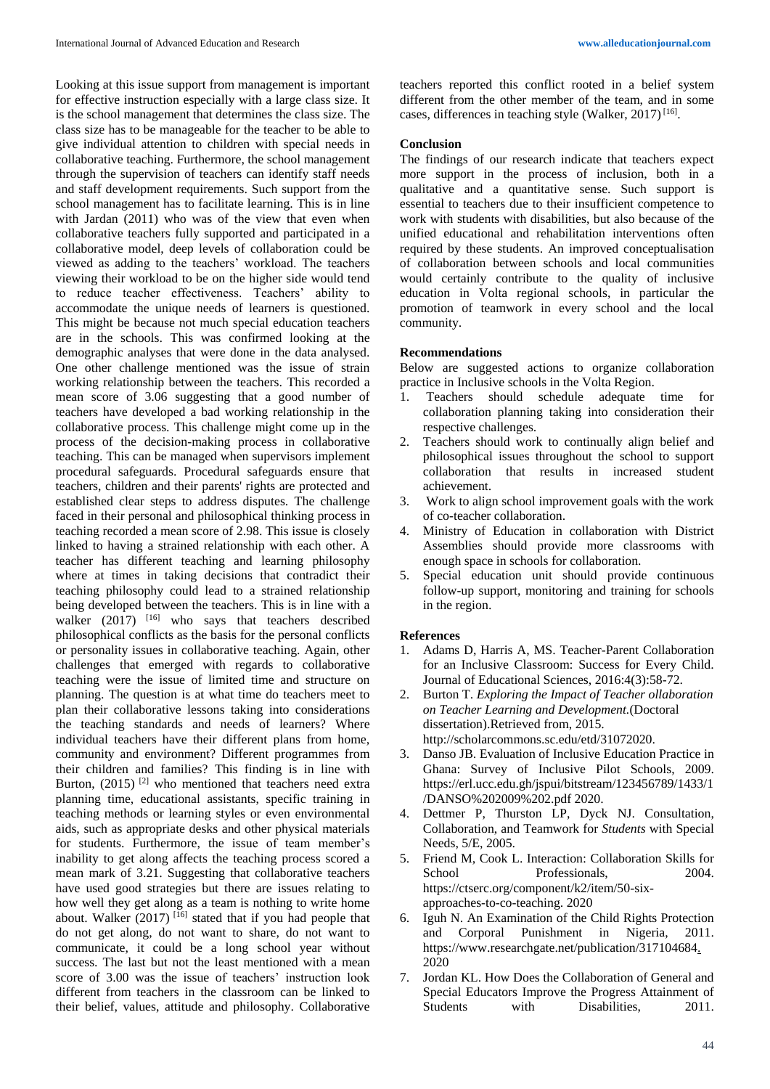Looking at this issue support from management is important for effective instruction especially with a large class size. It is the school management that determines the class size. The class size has to be manageable for the teacher to be able to give individual attention to children with special needs in collaborative teaching. Furthermore, the school management through the supervision of teachers can identify staff needs and staff development requirements. Such support from the school management has to facilitate learning. This is in line with Jardan (2011) who was of the view that even when collaborative teachers fully supported and participated in a collaborative model, deep levels of collaboration could be viewed as adding to the teachers' workload. The teachers viewing their workload to be on the higher side would tend to reduce teacher effectiveness. Teachers' ability to accommodate the unique needs of learners is questioned. This might be because not much special education teachers are in the schools. This was confirmed looking at the demographic analyses that were done in the data analysed. One other challenge mentioned was the issue of strain working relationship between the teachers. This recorded a mean score of 3.06 suggesting that a good number of teachers have developed a bad working relationship in the collaborative process. This challenge might come up in the process of the decision-making process in collaborative teaching. This can be managed when supervisors implement procedural safeguards. Procedural safeguards ensure that teachers, children and their parents' rights are protected and established clear steps to address disputes. The challenge faced in their personal and philosophical thinking process in teaching recorded a mean score of 2.98. This issue is closely linked to having a strained relationship with each other. A teacher has different teaching and learning philosophy where at times in taking decisions that contradict their teaching philosophy could lead to a strained relationship being developed between the teachers. This is in line with a walker  $(2017)$  <sup>[16]</sup> who says that teachers described philosophical conflicts as the basis for the personal conflicts or personality issues in collaborative teaching. Again, other challenges that emerged with regards to collaborative teaching were the issue of limited time and structure on planning. The question is at what time do teachers meet to plan their collaborative lessons taking into considerations the teaching standards and needs of learners? Where individual teachers have their different plans from home, community and environment? Different programmes from their children and families? This finding is in line with Burton,  $(2015)$ <sup>[2]</sup> who mentioned that teachers need extra planning time, educational assistants, specific training in teaching methods or learning styles or even environmental aids, such as appropriate desks and other physical materials for students. Furthermore, the issue of team member's inability to get along affects the teaching process scored a mean mark of 3.21. Suggesting that collaborative teachers have used good strategies but there are issues relating to how well they get along as a team is nothing to write home about. Walker  $(2017)$ <sup>[16]</sup> stated that if you had people that do not get along, do not want to share, do not want to communicate, it could be a long school year without success. The last but not the least mentioned with a mean score of 3.00 was the issue of teachers' instruction look different from teachers in the classroom can be linked to their belief, values, attitude and philosophy. Collaborative

teachers reported this conflict rooted in a belief system different from the other member of the team, and in some cases, differences in teaching style (Walker, 2017)<sup>[16]</sup>.

#### **Conclusion**

The findings of our research indicate that teachers expect more support in the process of inclusion, both in a qualitative and a quantitative sense. Such support is essential to teachers due to their insufficient competence to work with students with disabilities, but also because of the unified educational and rehabilitation interventions often required by these students. An improved conceptualisation of collaboration between schools and local communities would certainly contribute to the quality of inclusive education in Volta regional schools, in particular the promotion of teamwork in every school and the local community.

### **Recommendations**

Below are suggested actions to organize collaboration practice in Inclusive schools in the Volta Region.

- 1. Teachers should schedule adequate time for collaboration planning taking into consideration their respective challenges.
- 2. Teachers should work to continually align belief and philosophical issues throughout the school to support collaboration that results in increased student achievement.
- 3. Work to align school improvement goals with the work of co-teacher collaboration.
- 4. Ministry of Education in collaboration with District Assemblies should provide more classrooms with enough space in schools for collaboration.
- 5. Special education unit should provide continuous follow-up support, monitoring and training for schools in the region.

## **References**

- 1. Adams D, Harris A, MS. Teacher-Parent Collaboration for an Inclusive Classroom: Success for Every Child. Journal of Educational Sciences, 2016:4(3):58-72.
- 2. Burton T. *Exploring the Impact of Teacher ollaboration on Teacher Learning and Development.*(Doctoral dissertation).Retrieved from, 2015. http://scholarcommons.sc.edu/etd/31072020.
- 3. Danso JB. Evaluation of Inclusive Education Practice in Ghana: Survey of Inclusive Pilot Schools, 2009. https://erl.ucc.edu.gh/jspui/bitstream/123456789/1433/1 /DANSO%202009%202.pdf 2020.
- 4. Dettmer P, Thurston LP, Dyck NJ. Consultation, Collaboration, and Teamwork for *Students* with Special Needs, 5/E, 2005.
- 5. Friend M, Cook L. Interaction: Collaboration Skills for School Professionals, 2004. https://ctserc.org/component/k2/item/50-sixapproaches-to-co-teaching. 2020
- 6. Iguh N. An Examination of the Child Rights Protection and Corporal Punishment in Nigeria, 2011. https://www.researchgate.net/publication/317104684. 2020
- 7. Jordan KL. How Does the Collaboration of General and Special Educators Improve the Progress Attainment of Students with Disabilities, 2011.